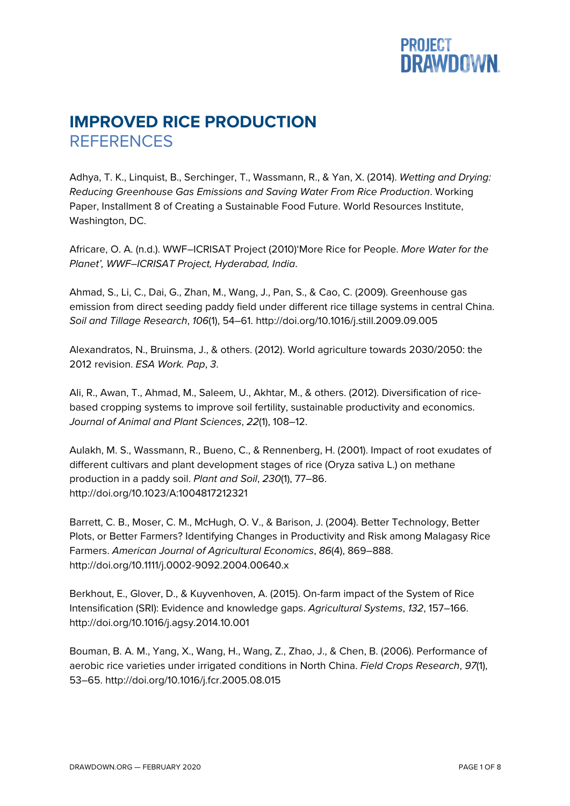## **PROJECT<br>DRAWDOWN.**

## **IMPROVED RICE PRODUCTION REFERENCES**

Adhya, T. K., Linquist, B., Serchinger, T., Wassmann, R., & Yan, X. (2014). *Wetting and Drying: Reducing Greenhouse Gas Emissions and Saving Water From Rice Production*. Working Paper, Installment 8 of Creating a Sustainable Food Future. World Resources Institute, Washington, DC.

Africare, O. A. (n.d.). WWF–ICRISAT Project (2010)'More Rice for People. *More Water for the Planet', WWF–ICRISAT Project, Hyderabad, India*.

Ahmad, S., Li, C., Dai, G., Zhan, M., Wang, J., Pan, S., & Cao, C. (2009). Greenhouse gas emission from direct seeding paddy field under different rice tillage systems in central China. *Soil and Tillage Research*, *106*(1), 54–61. http://doi.org/10.1016/j.still.2009.09.005

Alexandratos, N., Bruinsma, J., & others. (2012). World agriculture towards 2030/2050: the 2012 revision. *ESA Work. Pap*, *3*.

Ali, R., Awan, T., Ahmad, M., Saleem, U., Akhtar, M., & others. (2012). Diversification of ricebased cropping systems to improve soil fertility, sustainable productivity and economics. *Journal of Animal and Plant Sciences*, *22*(1), 108–12.

Aulakh, M. S., Wassmann, R., Bueno, C., & Rennenberg, H. (2001). Impact of root exudates of different cultivars and plant development stages of rice (Oryza sativa L.) on methane production in a paddy soil. *Plant and Soil*, *230*(1), 77–86. http://doi.org/10.1023/A:1004817212321

Barrett, C. B., Moser, C. M., McHugh, O. V., & Barison, J. (2004). Better Technology, Better Plots, or Better Farmers? Identifying Changes in Productivity and Risk among Malagasy Rice Farmers. *American Journal of Agricultural Economics*, *86*(4), 869–888. http://doi.org/10.1111/j.0002-9092.2004.00640.x

Berkhout, E., Glover, D., & Kuyvenhoven, A. (2015). On-farm impact of the System of Rice Intensification (SRI): Evidence and knowledge gaps. *Agricultural Systems*, *132*, 157–166. http://doi.org/10.1016/j.agsy.2014.10.001

Bouman, B. A. M., Yang, X., Wang, H., Wang, Z., Zhao, J., & Chen, B. (2006). Performance of aerobic rice varieties under irrigated conditions in North China. *Field Crops Research*, *97*(1), 53–65. http://doi.org/10.1016/j.fcr.2005.08.015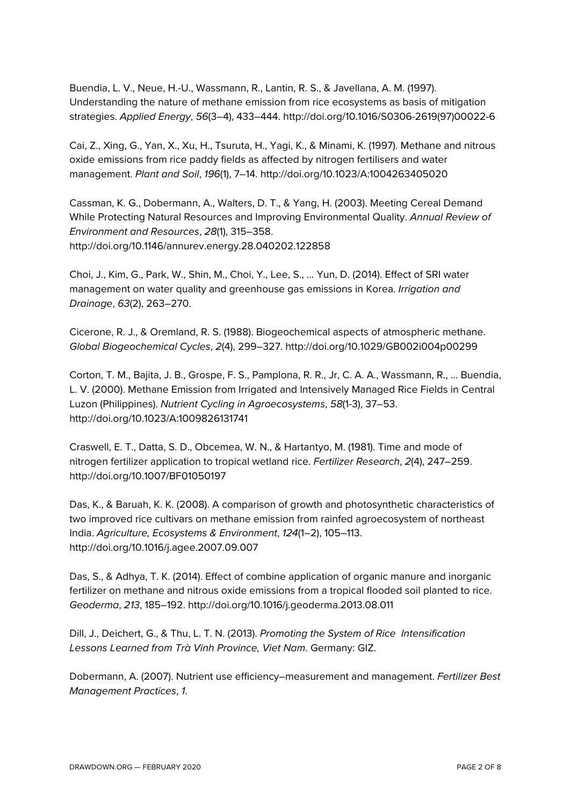Buendia, L. V., Neue, H.-U., Wassmann, R., Lantin, R. S., & Javellana, A. M. (1997). Understanding the nature of methane emission from rice ecosystems as basis of mitigation strategies. *Applied Energy*, *56*(3–4), 433–444. http://doi.org/10.1016/S0306-2619(97)00022-6

Cai, Z., Xing, G., Yan, X., Xu, H., Tsuruta, H., Yagi, K., & Minami, K. (1997). Methane and nitrous oxide emissions from rice paddy fields as affected by nitrogen fertilisers and water management. *Plant and Soil*, *196*(1), 7–14. http://doi.org/10.1023/A:1004263405020

Cassman, K. G., Dobermann, A., Walters, D. T., & Yang, H. (2003). Meeting Cereal Demand While Protecting Natural Resources and Improving Environmental Quality. *Annual Review of Environment and Resources*, *28*(1), 315–358. http://doi.org/10.1146/annurev.energy.28.040202.122858

Choi, J., Kim, G., Park, W., Shin, M., Choi, Y., Lee, S., … Yun, D. (2014). Effect of SRI water management on water quality and greenhouse gas emissions in Korea. *Irrigation and Drainage*, *63*(2), 263–270.

Cicerone, R. J., & Oremland, R. S. (1988). Biogeochemical aspects of atmospheric methane. *Global Biogeochemical Cycles*, *2*(4), 299–327. http://doi.org/10.1029/GB002i004p00299

Corton, T. M., Bajita, J. B., Grospe, F. S., Pamplona, R. R., Jr, C. A. A., Wassmann, R., … Buendia, L. V. (2000). Methane Emission from Irrigated and Intensively Managed Rice Fields in Central Luzon (Philippines). *Nutrient Cycling in Agroecosystems*, *58*(1-3), 37–53. http://doi.org/10.1023/A:1009826131741

Craswell, E. T., Datta, S. D., Obcemea, W. N., & Hartantyo, M. (1981). Time and mode of nitrogen fertilizer application to tropical wetland rice. *Fertilizer Research*, *2*(4), 247–259. http://doi.org/10.1007/BF01050197

Das, K., & Baruah, K. K. (2008). A comparison of growth and photosynthetic characteristics of two improved rice cultivars on methane emission from rainfed agroecosystem of northeast India. *Agriculture, Ecosystems & Environment*, *124*(1–2), 105–113. http://doi.org/10.1016/j.agee.2007.09.007

Das, S., & Adhya, T. K. (2014). Effect of combine application of organic manure and inorganic fertilizer on methane and nitrous oxide emissions from a tropical flooded soil planted to rice. *Geoderma*, *213*, 185–192. http://doi.org/10.1016/j.geoderma.2013.08.011

Dill, J., Deichert, G., & Thu, L. T. N. (2013). *Promoting the System of Rice Intensification Lessons Learned from Trà Vinh Province, Viet Nam*. Germany: GIZ.

Dobermann, A. (2007). Nutrient use efficiency–measurement and management. *Fertilizer Best Management Practices*, *1*.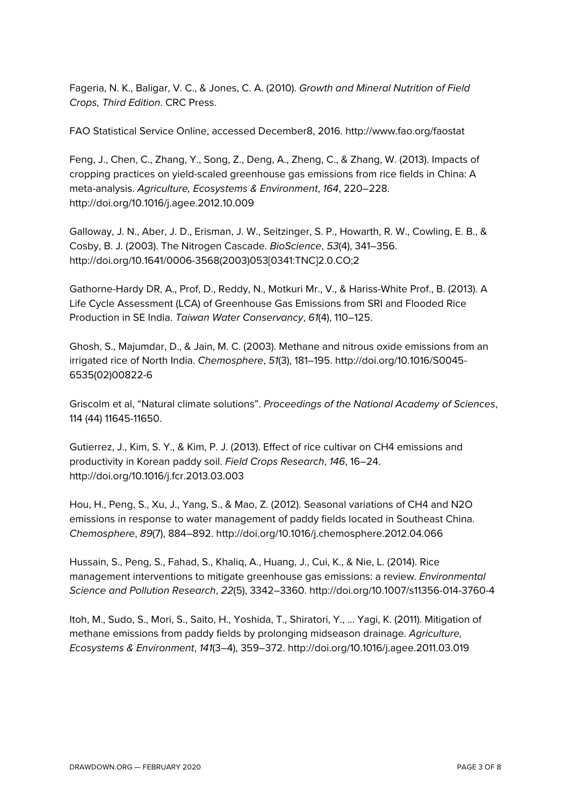Fageria, N. K., Baligar, V. C., & Jones, C. A. (2010). *Growth and Mineral Nutrition of Field Crops, Third Edition*. CRC Press.

FAO Statistical Service Online, accessed December8, 2016. http://www.fao.org/faostat

Feng, J., Chen, C., Zhang, Y., Song, Z., Deng, A., Zheng, C., & Zhang, W. (2013). Impacts of cropping practices on yield-scaled greenhouse gas emissions from rice fields in China: A meta-analysis. *Agriculture, Ecosystems & Environment*, *164*, 220–228. http://doi.org/10.1016/j.agee.2012.10.009

Galloway, J. N., Aber, J. D., Erisman, J. W., Seitzinger, S. P., Howarth, R. W., Cowling, E. B., & Cosby, B. J. (2003). The Nitrogen Cascade. *BioScience*, *53*(4), 341–356. http://doi.org/10.1641/0006-3568(2003)053[0341:TNC]2.0.CO;2

Gathorne-Hardy DR, A., Prof, D., Reddy, N., Motkuri Mr., V., & Hariss-White Prof., B. (2013). A Life Cycle Assessment (LCA) of Greenhouse Gas Emissions from SRI and Flooded Rice Production in SE India. *Taiwan Water Conservancy*, *61*(4), 110–125.

Ghosh, S., Majumdar, D., & Jain, M. C. (2003). Methane and nitrous oxide emissions from an irrigated rice of North India. *Chemosphere*, *51*(3), 181–195. http://doi.org/10.1016/S0045- 6535(02)00822-6

Griscolm et al, "Natural climate solutions". *Proceedings of the National Academy of Sciences*, 114 (44) 11645-11650.

Gutierrez, J., Kim, S. Y., & Kim, P. J. (2013). Effect of rice cultivar on CH4 emissions and productivity in Korean paddy soil. *Field Crops Research*, *146*, 16–24. http://doi.org/10.1016/j.fcr.2013.03.003

Hou, H., Peng, S., Xu, J., Yang, S., & Mao, Z. (2012). Seasonal variations of CH4 and N2O emissions in response to water management of paddy fields located in Southeast China. *Chemosphere*, *89*(7), 884–892. http://doi.org/10.1016/j.chemosphere.2012.04.066

Hussain, S., Peng, S., Fahad, S., Khaliq, A., Huang, J., Cui, K., & Nie, L. (2014). Rice management interventions to mitigate greenhouse gas emissions: a review. *Environmental Science and Pollution Research*, *22*(5), 3342–3360. http://doi.org/10.1007/s11356-014-3760-4

Itoh, M., Sudo, S., Mori, S., Saito, H., Yoshida, T., Shiratori, Y., … Yagi, K. (2011). Mitigation of methane emissions from paddy fields by prolonging midseason drainage. *Agriculture, Ecosystems & Environment*, *141*(3–4), 359–372. http://doi.org/10.1016/j.agee.2011.03.019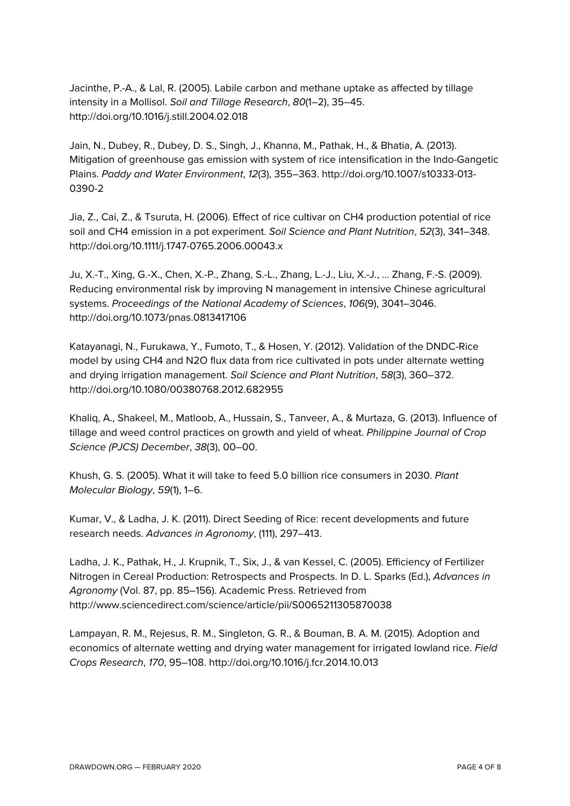Jacinthe, P.-A., & Lal, R. (2005). Labile carbon and methane uptake as affected by tillage intensity in a Mollisol. *Soil and Tillage Research*, *80*(1–2), 35–45. http://doi.org/10.1016/j.still.2004.02.018

Jain, N., Dubey, R., Dubey, D. S., Singh, J., Khanna, M., Pathak, H., & Bhatia, A. (2013). Mitigation of greenhouse gas emission with system of rice intensification in the Indo-Gangetic Plains. *Paddy and Water Environment*, *12*(3), 355–363. http://doi.org/10.1007/s10333-013- 0390-2

Jia, Z., Cai, Z., & Tsuruta, H. (2006). Effect of rice cultivar on CH4 production potential of rice soil and CH4 emission in a pot experiment. *Soil Science and Plant Nutrition*, *52*(3), 341–348. http://doi.org/10.1111/j.1747-0765.2006.00043.x

Ju, X.-T., Xing, G.-X., Chen, X.-P., Zhang, S.-L., Zhang, L.-J., Liu, X.-J., … Zhang, F.-S. (2009). Reducing environmental risk by improving N management in intensive Chinese agricultural systems. *Proceedings of the National Academy of Sciences*, *106*(9), 3041–3046. http://doi.org/10.1073/pnas.0813417106

Katayanagi, N., Furukawa, Y., Fumoto, T., & Hosen, Y. (2012). Validation of the DNDC-Rice model by using CH4 and N2O flux data from rice cultivated in pots under alternate wetting and drying irrigation management. *Soil Science and Plant Nutrition*, *58*(3), 360–372. http://doi.org/10.1080/00380768.2012.682955

Khaliq, A., Shakeel, M., Matloob, A., Hussain, S., Tanveer, A., & Murtaza, G. (2013). Influence of tillage and weed control practices on growth and yield of wheat. *Philippine Journal of Crop Science (PJCS) December*, *38*(3), 00–00.

Khush, G. S. (2005). What it will take to feed 5.0 billion rice consumers in 2030. *Plant Molecular Biology*, *59*(1), 1–6.

Kumar, V., & Ladha, J. K. (2011). Direct Seeding of Rice: recent developments and future research needs. *Advances in Agronomy*, (111), 297–413.

Ladha, J. K., Pathak, H., J. Krupnik, T., Six, J., & van Kessel, C. (2005). Efficiency of Fertilizer Nitrogen in Cereal Production: Retrospects and Prospects. In D. L. Sparks (Ed.), *Advances in Agronomy* (Vol. 87, pp. 85–156). Academic Press. Retrieved from http://www.sciencedirect.com/science/article/pii/S0065211305870038

Lampayan, R. M., Rejesus, R. M., Singleton, G. R., & Bouman, B. A. M. (2015). Adoption and economics of alternate wetting and drying water management for irrigated lowland rice. *Field Crops Research*, *170*, 95–108. http://doi.org/10.1016/j.fcr.2014.10.013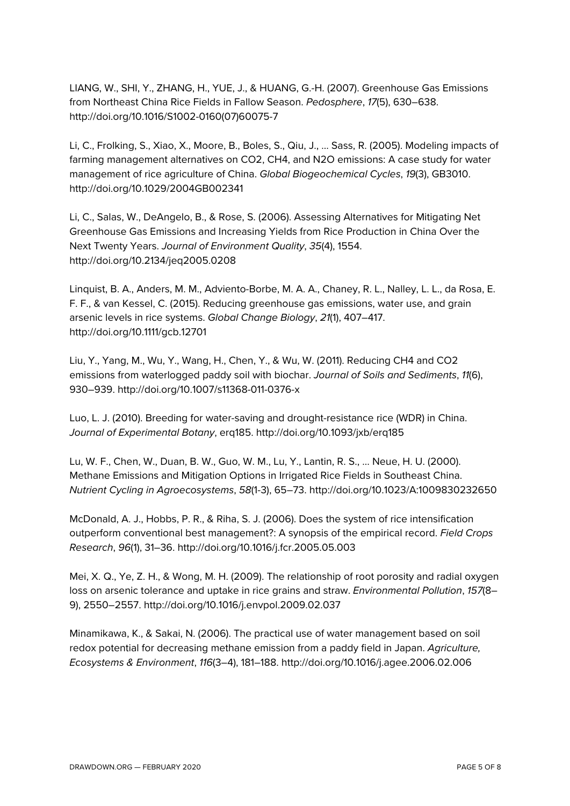LIANG, W., SHI, Y., ZHANG, H., YUE, J., & HUANG, G.-H. (2007). Greenhouse Gas Emissions from Northeast China Rice Fields in Fallow Season. *Pedosphere*, *17*(5), 630–638. http://doi.org/10.1016/S1002-0160(07)60075-7

Li, C., Frolking, S., Xiao, X., Moore, B., Boles, S., Qiu, J., … Sass, R. (2005). Modeling impacts of farming management alternatives on CO2, CH4, and N2O emissions: A case study for water management of rice agriculture of China. *Global Biogeochemical Cycles*, *19*(3), GB3010. http://doi.org/10.1029/2004GB002341

Li, C., Salas, W., DeAngelo, B., & Rose, S. (2006). Assessing Alternatives for Mitigating Net Greenhouse Gas Emissions and Increasing Yields from Rice Production in China Over the Next Twenty Years. *Journal of Environment Quality*, *35*(4), 1554. http://doi.org/10.2134/jeq2005.0208

Linquist, B. A., Anders, M. M., Adviento-Borbe, M. A. A., Chaney, R. L., Nalley, L. L., da Rosa, E. F. F., & van Kessel, C. (2015). Reducing greenhouse gas emissions, water use, and grain arsenic levels in rice systems. *Global Change Biology*, *21*(1), 407–417. http://doi.org/10.1111/gcb.12701

Liu, Y., Yang, M., Wu, Y., Wang, H., Chen, Y., & Wu, W. (2011). Reducing CH4 and CO2 emissions from waterlogged paddy soil with biochar. *Journal of Soils and Sediments*, *11*(6), 930–939. http://doi.org/10.1007/s11368-011-0376-x

Luo, L. J. (2010). Breeding for water-saving and drought-resistance rice (WDR) in China. *Journal of Experimental Botany*, erq185. http://doi.org/10.1093/jxb/erq185

Lu, W. F., Chen, W., Duan, B. W., Guo, W. M., Lu, Y., Lantin, R. S., … Neue, H. U. (2000). Methane Emissions and Mitigation Options in Irrigated Rice Fields in Southeast China. *Nutrient Cycling in Agroecosystems*, *58*(1-3), 65–73. http://doi.org/10.1023/A:1009830232650

McDonald, A. J., Hobbs, P. R., & Riha, S. J. (2006). Does the system of rice intensification outperform conventional best management?: A synopsis of the empirical record. *Field Crops Research*, *96*(1), 31–36. http://doi.org/10.1016/j.fcr.2005.05.003

Mei, X. Q., Ye, Z. H., & Wong, M. H. (2009). The relationship of root porosity and radial oxygen loss on arsenic tolerance and uptake in rice grains and straw. *Environmental Pollution*, *157*(8– 9), 2550–2557. http://doi.org/10.1016/j.envpol.2009.02.037

Minamikawa, K., & Sakai, N. (2006). The practical use of water management based on soil redox potential for decreasing methane emission from a paddy field in Japan. *Agriculture, Ecosystems & Environment*, *116*(3–4), 181–188. http://doi.org/10.1016/j.agee.2006.02.006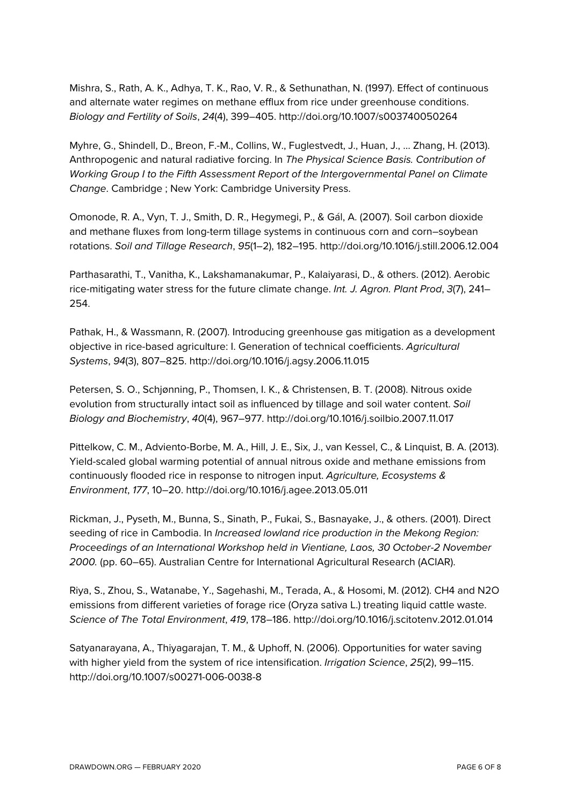Mishra, S., Rath, A. K., Adhya, T. K., Rao, V. R., & Sethunathan, N. (1997). Effect of continuous and alternate water regimes on methane efflux from rice under greenhouse conditions. *Biology and Fertility of Soils*, *24*(4), 399–405. http://doi.org/10.1007/s003740050264

Myhre, G., Shindell, D., Breon, F.-M., Collins, W., Fuglestvedt, J., Huan, J., … Zhang, H. (2013). Anthropogenic and natural radiative forcing. In *The Physical Science Basis. Contribution of Working Group I to the Fifth Assessment Report of the Intergovernmental Panel on Climate Change*. Cambridge ; New York: Cambridge University Press.

Omonode, R. A., Vyn, T. J., Smith, D. R., Hegymegi, P., & Gál, A. (2007). Soil carbon dioxide and methane fluxes from long-term tillage systems in continuous corn and corn–soybean rotations. *Soil and Tillage Research*, *95*(1–2), 182–195. http://doi.org/10.1016/j.still.2006.12.004

Parthasarathi, T., Vanitha, K., Lakshamanakumar, P., Kalaiyarasi, D., & others. (2012). Aerobic rice-mitigating water stress for the future climate change. *Int. J. Agron. Plant Prod*, *3*(7), 241– 254.

Pathak, H., & Wassmann, R. (2007). Introducing greenhouse gas mitigation as a development objective in rice-based agriculture: I. Generation of technical coefficients. *Agricultural Systems*, *94*(3), 807–825. http://doi.org/10.1016/j.agsy.2006.11.015

Petersen, S. O., Schjønning, P., Thomsen, I. K., & Christensen, B. T. (2008). Nitrous oxide evolution from structurally intact soil as influenced by tillage and soil water content. *Soil Biology and Biochemistry*, *40*(4), 967–977. http://doi.org/10.1016/j.soilbio.2007.11.017

Pittelkow, C. M., Adviento-Borbe, M. A., Hill, J. E., Six, J., van Kessel, C., & Linquist, B. A. (2013). Yield-scaled global warming potential of annual nitrous oxide and methane emissions from continuously flooded rice in response to nitrogen input. *Agriculture, Ecosystems & Environment*, *177*, 10–20. http://doi.org/10.1016/j.agee.2013.05.011

Rickman, J., Pyseth, M., Bunna, S., Sinath, P., Fukai, S., Basnayake, J., & others. (2001). Direct seeding of rice in Cambodia. In *Increased lowland rice production in the Mekong Region: Proceedings of an International Workshop held in Vientiane, Laos, 30 October-2 November 2000.* (pp. 60–65). Australian Centre for International Agricultural Research (ACIAR).

Riya, S., Zhou, S., Watanabe, Y., Sagehashi, M., Terada, A., & Hosomi, M. (2012). CH4 and N2O emissions from different varieties of forage rice (Oryza sativa L.) treating liquid cattle waste. *Science of The Total Environment*, *419*, 178–186. http://doi.org/10.1016/j.scitotenv.2012.01.014

Satyanarayana, A., Thiyagarajan, T. M., & Uphoff, N. (2006). Opportunities for water saving with higher yield from the system of rice intensification. *Irrigation Science*, *25*(2), 99–115. http://doi.org/10.1007/s00271-006-0038-8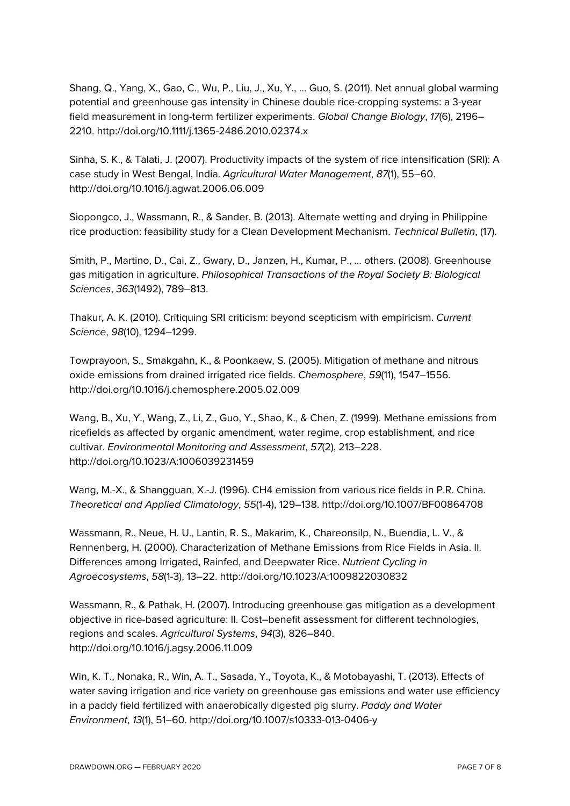Shang, Q., Yang, X., Gao, C., Wu, P., Liu, J., Xu, Y., … Guo, S. (2011). Net annual global warming potential and greenhouse gas intensity in Chinese double rice-cropping systems: a 3-year field measurement in long-term fertilizer experiments. *Global Change Biology*, *17*(6), 2196– 2210. http://doi.org/10.1111/j.1365-2486.2010.02374.x

Sinha, S. K., & Talati, J. (2007). Productivity impacts of the system of rice intensification (SRI): A case study in West Bengal, India. *Agricultural Water Management*, *87*(1), 55–60. http://doi.org/10.1016/j.agwat.2006.06.009

Siopongco, J., Wassmann, R., & Sander, B. (2013). Alternate wetting and drying in Philippine rice production: feasibility study for a Clean Development Mechanism. *Technical Bulletin*, (17).

Smith, P., Martino, D., Cai, Z., Gwary, D., Janzen, H., Kumar, P., … others. (2008). Greenhouse gas mitigation in agriculture. *Philosophical Transactions of the Royal Society B: Biological Sciences*, *363*(1492), 789–813.

Thakur, A. K. (2010). Critiquing SRI criticism: beyond scepticism with empiricism. *Current Science*, *98*(10), 1294–1299.

Towprayoon, S., Smakgahn, K., & Poonkaew, S. (2005). Mitigation of methane and nitrous oxide emissions from drained irrigated rice fields. *Chemosphere*, *59*(11), 1547–1556. http://doi.org/10.1016/j.chemosphere.2005.02.009

Wang, B., Xu, Y., Wang, Z., Li, Z., Guo, Y., Shao, K., & Chen, Z. (1999). Methane emissions from ricefields as affected by organic amendment, water regime, crop establishment, and rice cultivar. *Environmental Monitoring and Assessment*, *57*(2), 213–228. http://doi.org/10.1023/A:1006039231459

Wang, M.-X., & Shangguan, X.-J. (1996). CH4 emission from various rice fields in P.R. China. *Theoretical and Applied Climatology*, *55*(1-4), 129–138. http://doi.org/10.1007/BF00864708

Wassmann, R., Neue, H. U., Lantin, R. S., Makarim, K., Chareonsilp, N., Buendia, L. V., & Rennenberg, H. (2000). Characterization of Methane Emissions from Rice Fields in Asia. II. Differences among Irrigated, Rainfed, and Deepwater Rice. *Nutrient Cycling in Agroecosystems*, *58*(1-3), 13–22. http://doi.org/10.1023/A:1009822030832

Wassmann, R., & Pathak, H. (2007). Introducing greenhouse gas mitigation as a development objective in rice-based agriculture: II. Cost–benefit assessment for different technologies, regions and scales. *Agricultural Systems*, *94*(3), 826–840. http://doi.org/10.1016/j.agsy.2006.11.009

Win, K. T., Nonaka, R., Win, A. T., Sasada, Y., Toyota, K., & Motobayashi, T. (2013). Effects of water saving irrigation and rice variety on greenhouse gas emissions and water use efficiency in a paddy field fertilized with anaerobically digested pig slurry. *Paddy and Water Environment*, *13*(1), 51–60. http://doi.org/10.1007/s10333-013-0406-y